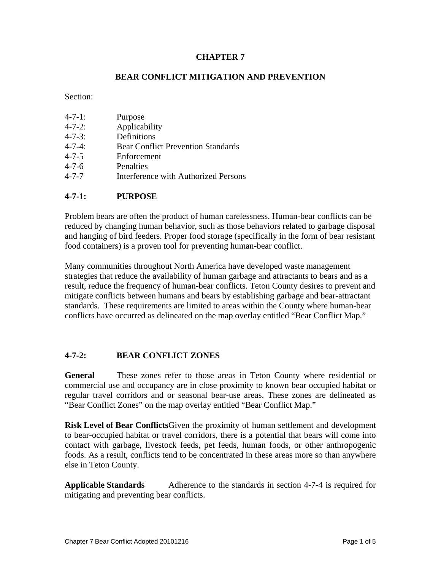# **CHAPTER 7**

# **BEAR CONFLICT MITIGATION AND PREVENTION**

Section:

| Purpose                                   |
|-------------------------------------------|
| Applicability                             |
| Definitions                               |
| <b>Bear Conflict Prevention Standards</b> |
| Enforcement                               |
| Penalties                                 |
|                                           |

4-7-7 Interference with Authorized Persons

### **4-7-1: PURPOSE**

Problem bears are often the product of human carelessness. Human-bear conflicts can be reduced by changing human behavior, such as those behaviors related to garbage disposal and hanging of bird feeders. Proper food storage (specifically in the form of bear resistant food containers) is a proven tool for preventing human-bear conflict.

Many communities throughout North America have developed waste management strategies that reduce the availability of human garbage and attractants to bears and as a result, reduce the frequency of human-bear conflicts. Teton County desires to prevent and mitigate conflicts between humans and bears by establishing garbage and bear-attractant standards. These requirements are limited to areas within the County where human-bear conflicts have occurred as delineated on the map overlay entitled "Bear Conflict Map."

### **4-7-2: BEAR CONFLICT ZONES**

**General** These zones refer to those areas in Teton County where residential or commercial use and occupancy are in close proximity to known bear occupied habitat or regular travel corridors and or seasonal bear-use areas. These zones are delineated as "Bear Conflict Zones" on the map overlay entitled "Bear Conflict Map."

**Risk Level of Bear Conflicts**Given the proximity of human settlement and development to bear-occupied habitat or travel corridors, there is a potential that bears will come into contact with garbage, livestock feeds, pet feeds, human foods, or other anthropogenic foods. As a result, conflicts tend to be concentrated in these areas more so than anywhere else in Teton County.

**Applicable Standards** Adherence to the standards in section 4-7-4 is required for mitigating and preventing bear conflicts.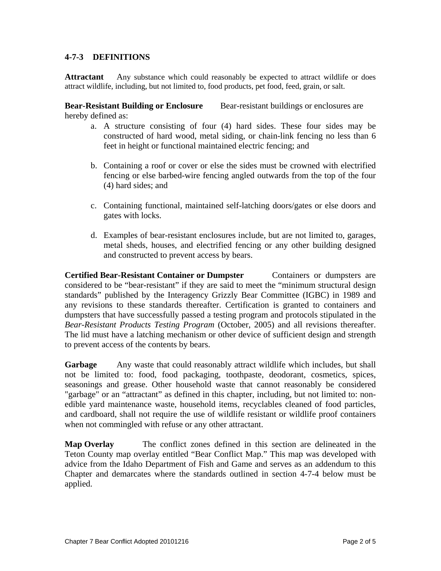# **4-7-3 DEFINITIONS**

**Attractant** Any substance which could reasonably be expected to attract wildlife or does attract wildlife, including, but not limited to, food products, pet food, feed, grain, or salt.

**Bear-Resistant Building or Enclosure** Bear-resistant buildings or enclosures are hereby defined as:

- a. A structure consisting of four (4) hard sides. These four sides may be constructed of hard wood, metal siding, or chain-link fencing no less than 6 feet in height or functional maintained electric fencing; and
- b. Containing a roof or cover or else the sides must be crowned with electrified fencing or else barbed-wire fencing angled outwards from the top of the four (4) hard sides; and
- c. Containing functional, maintained self-latching doors/gates or else doors and gates with locks.
- d. Examples of bear-resistant enclosures include, but are not limited to, garages, metal sheds, houses, and electrified fencing or any other building designed and constructed to prevent access by bears.

**Certified Bear-Resistant Container or Dumpster** Containers or dumpsters are considered to be "bear-resistant" if they are said to meet the "minimum structural design standards" published by the Interagency Grizzly Bear Committee (IGBC) in 1989 and any revisions to these standards thereafter. Certification is granted to containers and dumpsters that have successfully passed a testing program and protocols stipulated in the *Bear-Resistant Products Testing Program* (October, 2005) and all revisions thereafter. The lid must have a latching mechanism or other device of sufficient design and strength to prevent access of the contents by bears.

Garbage Any waste that could reasonably attract wildlife which includes, but shall not be limited to: food, food packaging, toothpaste, deodorant, cosmetics, spices, seasonings and grease. Other household waste that cannot reasonably be considered "garbage" or an "attractant" as defined in this chapter, including, but not limited to: nonedible yard maintenance waste, household items, recyclables cleaned of food particles, and cardboard, shall not require the use of wildlife resistant or wildlife proof containers when not commingled with refuse or any other attractant.

**Map Overlay** The conflict zones defined in this section are delineated in the Teton County map overlay entitled "Bear Conflict Map." This map was developed with advice from the Idaho Department of Fish and Game and serves as an addendum to this Chapter and demarcates where the standards outlined in section 4-7-4 below must be applied.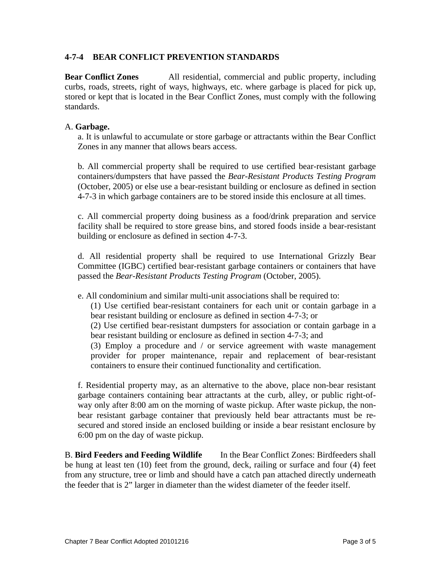## **4-7-4 BEAR CONFLICT PREVENTION STANDARDS**

**Bear Conflict Zones** All residential, commercial and public property, including curbs, roads, streets, right of ways, highways, etc. where garbage is placed for pick up, stored or kept that is located in the Bear Conflict Zones, must comply with the following standards.

#### A. **Garbage.**

a. It is unlawful to accumulate or store garbage or attractants within the Bear Conflict Zones in any manner that allows bears access.

b. All commercial property shall be required to use certified bear-resistant garbage containers/dumpsters that have passed the *Bear-Resistant Products Testing Program*  (October, 2005) or else use a bear-resistant building or enclosure as defined in section 4-7-3 in which garbage containers are to be stored inside this enclosure at all times.

c. All commercial property doing business as a food/drink preparation and service facility shall be required to store grease bins, and stored foods inside a bear-resistant building or enclosure as defined in section 4-7-3.

d. All residential property shall be required to use International Grizzly Bear Committee (IGBC) certified bear-resistant garbage containers or containers that have passed the *Bear-Resistant Products Testing Program* (October, 2005).

e. All condominium and similar multi-unit associations shall be required to:

(1) Use certified bear-resistant containers for each unit or contain garbage in a bear resistant building or enclosure as defined in section 4-7-3; or

(2) Use certified bear-resistant dumpsters for association or contain garbage in a bear resistant building or enclosure as defined in section 4-7-3; and

(3) Employ a procedure and / or service agreement with waste management provider for proper maintenance, repair and replacement of bear-resistant containers to ensure their continued functionality and certification.

f. Residential property may, as an alternative to the above, place non-bear resistant garbage containers containing bear attractants at the curb, alley, or public right-ofway only after 8:00 am on the morning of waste pickup. After waste pickup, the nonbear resistant garbage container that previously held bear attractants must be resecured and stored inside an enclosed building or inside a bear resistant enclosure by 6:00 pm on the day of waste pickup.

B. **Bird Feeders and Feeding Wildlife** In the Bear Conflict Zones: Birdfeeders shall be hung at least ten (10) feet from the ground, deck, railing or surface and four (4) feet from any structure, tree or limb and should have a catch pan attached directly underneath the feeder that is 2" larger in diameter than the widest diameter of the feeder itself.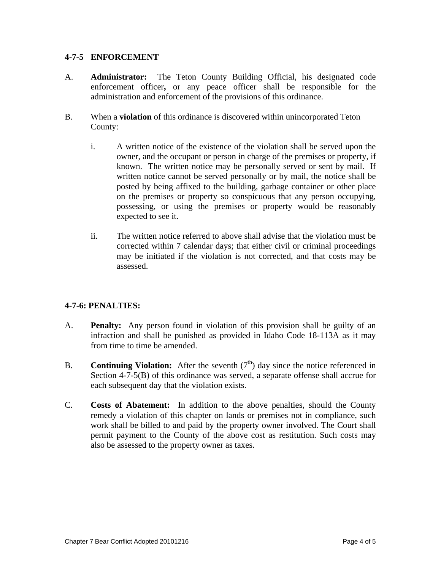## **4-7-5 ENFORCEMENT**

- A. **Administrator:** The Teton County Building Official, his designated code enforcement officer**,** or any peace officer shall be responsible for the administration and enforcement of the provisions of this ordinance.
- B. When a **violation** of this ordinance is discovered within unincorporated Teton County:
	- i. A written notice of the existence of the violation shall be served upon the owner, and the occupant or person in charge of the premises or property, if known. The written notice may be personally served or sent by mail. If written notice cannot be served personally or by mail, the notice shall be posted by being affixed to the building, garbage container or other place on the premises or property so conspicuous that any person occupying, possessing, or using the premises or property would be reasonably expected to see it.
	- ii. The written notice referred to above shall advise that the violation must be corrected within 7 calendar days; that either civil or criminal proceedings may be initiated if the violation is not corrected, and that costs may be assessed.

# **4-7-6: PENALTIES:**

- A. **Penalty:** Any person found in violation of this provision shall be guilty of an infraction and shall be punished as provided in Idaho Code 18-113A as it may from time to time be amended.
- B. **Continuing Violation:** After the seventh  $(7<sup>th</sup>)$  day since the notice referenced in Section 4-7-5(B) of this ordinance was served, a separate offense shall accrue for each subsequent day that the violation exists.
- C. **Costs of Abatement:** In addition to the above penalties, should the County remedy a violation of this chapter on lands or premises not in compliance, such work shall be billed to and paid by the property owner involved. The Court shall permit payment to the County of the above cost as restitution. Such costs may also be assessed to the property owner as taxes.